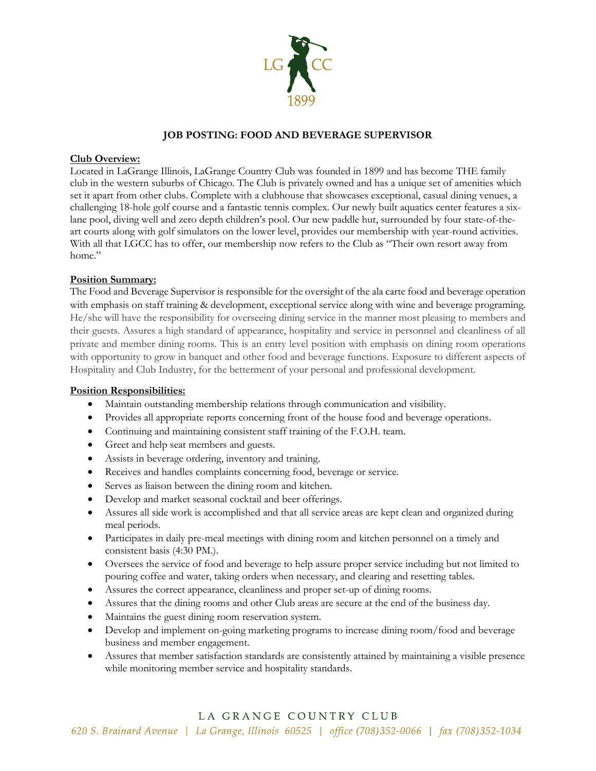

# **JOB POSTING: FOOD AND BEVERAGE SUPERVISOR**

### **Club Overview:**

Located in LaGrange Illinois, LaGrange Country Club was founded in 1899 and has become THE family club in the western suburbs of Chicago. The Club is privately owned and has a unique set of amenities which set it apart from other clubs. Complete with a clubhouse that showcases exceptional, casual dining venues, a challenging 18-hole golf course and a fantastic tennis complex. Our newly built aquatics center features a sixlane pool, diving well and zero depth children's pool. Our new paddle hut, surrounded by four state-of-theart courts along with golf simulators on the lower level, provides our membership with year-round activities. With all that LGCC has to offer, our membership now refers to the Club as "Their own resort away from home"

### **Position Summary:**

The Food and Beverage Supervisor is responsible for the oversight of the ala carte food and beverage operation with emphasis on staff training & development, exceptional service along with wine and beverage programing. He/she will have the responsibility for overseeing dining service in the manner most pleasing to members and their guests. Assures a high standard of appearance, hospitality and service in personnel and cleanliness of all private and member dining rooms. This is an entry level position with emphasis on dining room operations with opportunity to grow in banquet and other food and beverage functions. Exposure to different aspects of Hospitality and Club Industry, for the betterment of your personal and professional development.

### **Position Responsibilities:**

- Maintain outstanding membership relations through communication and visibility.
- Provides all appropriate reports concerning front of the house food and beverage operations.
- Continuing and maintaining consistent staff training of the F.O.H. team.
- Greet and help seat members and guests.
- Assists in beverage ordering, inventory and training.
- Receives and handles complaints concerning food, beverage or service.
- Serves as liaison between the dining room and kitchen.
- Develop and market seasonal cocktail and beer offerings.
- Assures all side work is accomplished and that all service areas are kept clean and organized during meal periods.
- Participates in daily pre-meal meetings with dining room and kitchen personnel on a timely and consistent basis (4:30 PM.).
- Oversees the service of food and beverage to help assure proper service including but not limited to pouring coffee and water, taking orders when necessary, and clearing and resetting tables.
- Assures the correct appearance, cleanliness and proper set-up of dining rooms.
- Assures that the dining rooms and other Club areas are secure at the end of the business day.
- Maintains the guest dining room reservation system.
- Develop and implement on-going marketing programs to increase dining room/food and beverage business and member engagement.
- Assures that member satisfaction standards are consistently attained by maintaining a visible presence while monitoring member service and hospitality standards.